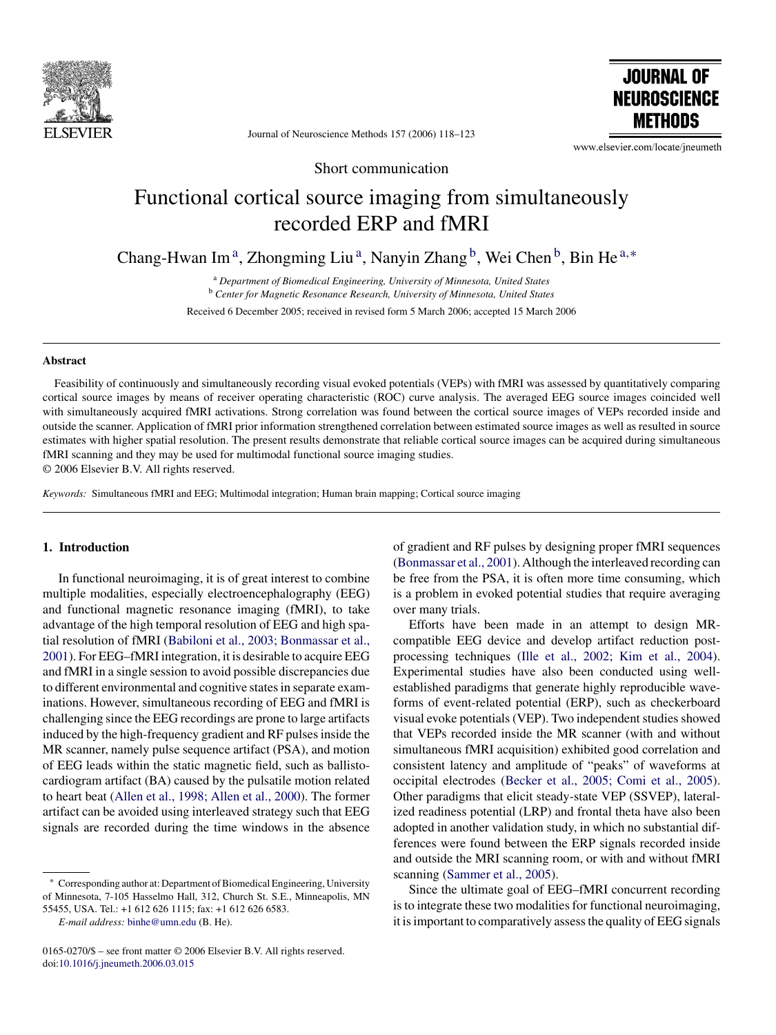

**JOURNAL OF NEUROSCIENCE METHODS** 

Journal of Neuroscience Methods 157 (2006) 118–123

www.elsevier.com/locate/jneumeth

Short communication

# Functional cortical source imaging from simultaneously recorded ERP and fMRI

Chang-Hwan Im<sup>a</sup>, Zhongming Liu<sup>a</sup>, Nanyin Zhang <sup>b</sup>, Wei Chen <sup>b</sup>, Bin He<sup>a,\*</sup>

<sup>a</sup> *Department of Biomedical Engineering, University of Minnesota, United States* <sup>b</sup> *Center for Magnetic Resonance Research, University of Minnesota, United States*

Received 6 December 2005; received in revised form 5 March 2006; accepted 15 March 2006

# **Abstract**

Feasibility of continuously and simultaneously recording visual evoked potentials (VEPs) with fMRI was assessed by quantitatively comparing cortical source images by means of receiver operating characteristic (ROC) curve analysis. The averaged EEG source images coincided well with simultaneously acquired fMRI activations. Strong correlation was found between the cortical source images of VEPs recorded inside and outside the scanner. Application of fMRI prior information strengthened correlation between estimated source images as well as resulted in source estimates with higher spatial resolution. The present results demonstrate that reliable cortical source images can be acquired during simultaneous fMRI scanning and they may be used for multimodal functional source imaging studies.

© 2006 Elsevier B.V. All rights reserved.

*Keywords:* Simultaneous fMRI and EEG; Multimodal integration; Human brain mapping; Cortical source imaging

#### **1. Introduction**

In functional neuroimaging, it is of great interest to combine multiple modalities, especially electroencephalography (EEG) and functional magnetic resonance imaging (fMRI), to take advantage of the high temporal resolution of EEG and high spatial resolution of fMRI [\(Babiloni et al., 2003; Bonmassar et al.,](#page-4-0) [2001\).](#page-4-0) For EEG–fMRI integration, it is desirable to acquire EEG and fMRI in a single session to avoid possible discrepancies due to different environmental and cognitive states in separate examinations. However, simultaneous recording of EEG and fMRI is challenging since the EEG recordings are prone to large artifacts induced by the high-frequency gradient and RF pulses inside the MR scanner, namely pulse sequence artifact (PSA), and motion of EEG leads within the static magnetic field, such as ballistocardiogram artifact (BA) caused by the pulsatile motion related to heart beat ([Allen et al., 1998; Allen et al., 2000\).](#page-4-0) The former artifact can be avoided using interleaved strategy such that EEG signals are recorded during the time windows in the absence

of gradient and RF pulses by designing proper fMRI sequences [\(Bonmassar et al., 2001\).](#page-4-0) Although the interleaved recording can be free from the PSA, it is often more time consuming, which is a problem in evoked potential studies that require averaging over many trials.

Efforts have been made in an attempt to design MRcompatible EEG device and develop artifact reduction postprocessing techniques [\(Ille et al., 2002; Kim et al., 2004\).](#page-5-0) Experimental studies have also been conducted using wellestablished paradigms that generate highly reproducible waveforms of event-related potential (ERP), such as checkerboard visual evoke potentials (VEP). Two independent studies showed that VEPs recorded inside the MR scanner (with and without simultaneous fMRI acquisition) exhibited good correlation and consistent latency and amplitude of "peaks" of waveforms at occipital electrodes ([Becker et al., 2005; Comi et al., 2005\).](#page-4-0) Other paradigms that elicit steady-state VEP (SSVEP), lateralized readiness potential (LRP) and frontal theta have also been adopted in another validation study, in which no substantial differences were found between the ERP signals recorded inside and outside the MRI scanning room, or with and without fMRI scanning [\(Sammer et al., 2005\).](#page-5-0)

Since the ultimate goal of EEG–fMRI concurrent recording is to integrate these two modalities for functional neuroimaging, it is important to comparatively assess the quality of EEG signals

<sup>∗</sup> Corresponding author at: Department of Biomedical Engineering, University of Minnesota, 7-105 Hasselmo Hall, 312, Church St. S.E., Minneapolis, MN 55455, USA. Tel.: +1 612 626 1115; fax: +1 612 626 6583.

*E-mail address:* [binhe@umn.edu](mailto:binhe@umn.edu) (B. He).

<sup>0165-0270/\$ –</sup> see front matter © 2006 Elsevier B.V. All rights reserved. doi[:10.1016/j.jneumeth.2006.03.015](dx.doi.org/10.1016/j.jneumeth.2006.03.015)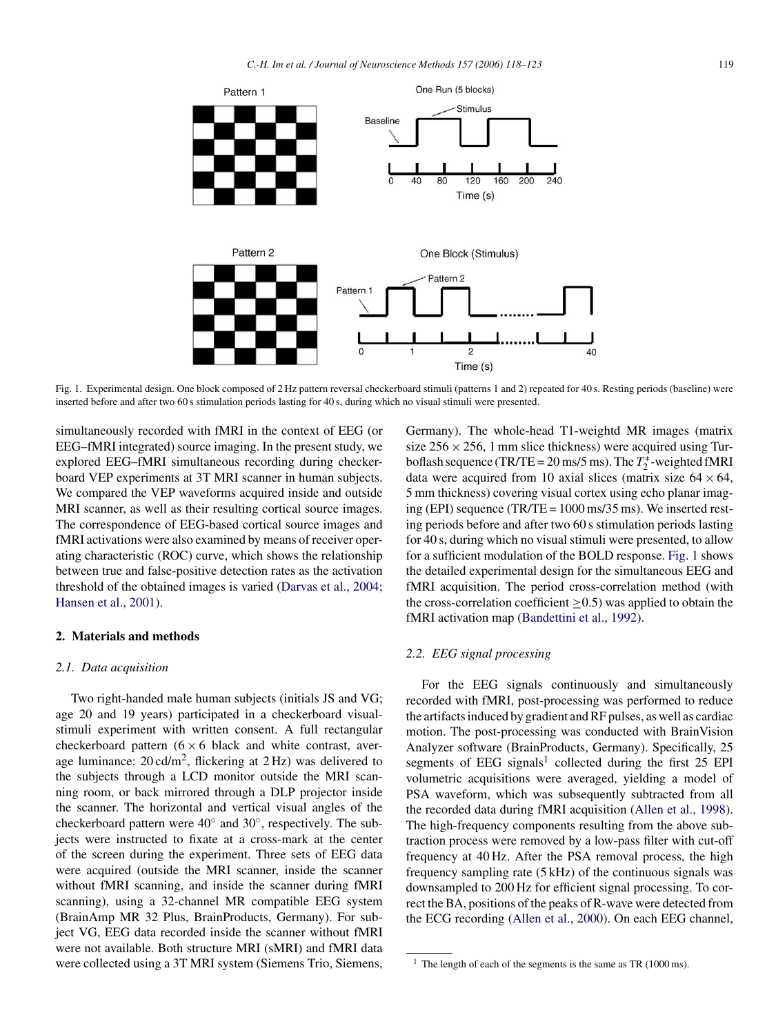<span id="page-1-0"></span>

Fig. 1. Experimental design. One block composed of 2 Hz pattern reversal checkerboard stimuli (patterns 1 and 2) repeated for 40 s. Resting periods (baseline) were inserted before and after two 60 s stimulation periods lasting for 40 s, during which no visual stimuli were presented.

simultaneously recorded with fMRI in the context of EEG (or EEG–fMRI integrated) source imaging. In the present study, we explored EEG–fMRI simultaneous recording during checkerboard VEP experiments at 3T MRI scanner in human subjects. We compared the VEP waveforms acquired inside and outside MRI scanner, as well as their resulting cortical source images. The correspondence of EEG-based cortical source images and fMRI activations were also examined by means of receiver operating characteristic (ROC) curve, which shows the relationship between true and false-positive detection rates as the activation threshold of the obtained images is varied ([Darvas et al., 2004;](#page-4-0) [Hansen et al., 2001\).](#page-4-0)

### **2. Materials and methods**

#### *2.1. Data acquisition*

Two right-handed male human subjects (initials JS and VG; age 20 and 19 years) participated in a checkerboard visualstimuli experiment with written consent. A full rectangular checkerboard pattern  $(6 \times 6)$  black and white contrast, average luminance:  $20 \text{ cd/m}^2$ , flickering at  $2 \text{ Hz}$ ) was delivered to the subjects through a LCD monitor outside the MRI scanning room, or back mirrored through a DLP projector inside the scanner. The horizontal and vertical visual angles of the checkerboard pattern were 40◦ and 30◦, respectively. The subjects were instructed to fixate at a cross-mark at the center of the screen during the experiment. Three sets of EEG data were acquired (outside the MRI scanner, inside the scanner without fMRI scanning, and inside the scanner during fMRI scanning), using a 32-channel MR compatible EEG system (BrainAmp MR 32 Plus, BrainProducts, Germany). For subject VG, EEG data recorded inside the scanner without fMRI were not available. Both structure MRI (sMRI) and fMRI data were collected using a 3T MRI system (Siemens Trio, Siemens,

Germany). The whole-head T1-weightd MR images (matrix size  $256 \times 256$ , 1 mm slice thickness) were acquired using Turboflash sequence (TR/TE =  $20 \,\text{ms}/5 \,\text{ms}$ ). The  $T_2^*$ -weighted fMRI data were acquired from 10 axial slices (matrix size  $64 \times 64$ , 5 mm thickness) covering visual cortex using echo planar imaging (EPI) sequence (TR/TE = 1000 ms/35 ms). We inserted resting periods before and after two 60 s stimulation periods lasting for 40 s, during which no visual stimuli were presented, to allow for a sufficient modulation of the BOLD response. Fig. 1 shows the detailed experimental design for the simultaneous EEG and fMRI acquisition. The period cross-correlation method (with the cross-correlation coefficient  $\geq$ 0.5) was applied to obtain the fMRI activation map ([Bandettini et al., 1992\).](#page-4-0)

# *2.2. EEG signal processing*

For the EEG signals continuously and simultaneously recorded with fMRI, post-processing was performed to reduce the artifacts induced by gradient and RF pulses, as well as cardiac motion. The post-processing was conducted with BrainVision Analyzer software (BrainProducts, Germany). Specifically, 25 segments of EEG signals<sup>1</sup> collected during the first  $25$  EPI volumetric acquisitions were averaged, yielding a model of PSA waveform, which was subsequently subtracted from all the recorded data during fMRI acquisition [\(Allen et al., 1998\).](#page-4-0) The high-frequency components resulting from the above subtraction process were removed by a low-pass filter with cut-off frequency at 40 Hz. After the PSA removal process, the high frequency sampling rate (5 kHz) of the continuous signals was downsampled to 200 Hz for efficient signal processing. To correct the BA, positions of the peaks of R-wave were detected from the ECG recording [\(Allen et al., 2000\).](#page-4-0) On each EEG channel,

<sup>&</sup>lt;sup>1</sup> The length of each of the segments is the same as TR  $(1000 \text{ ms})$ .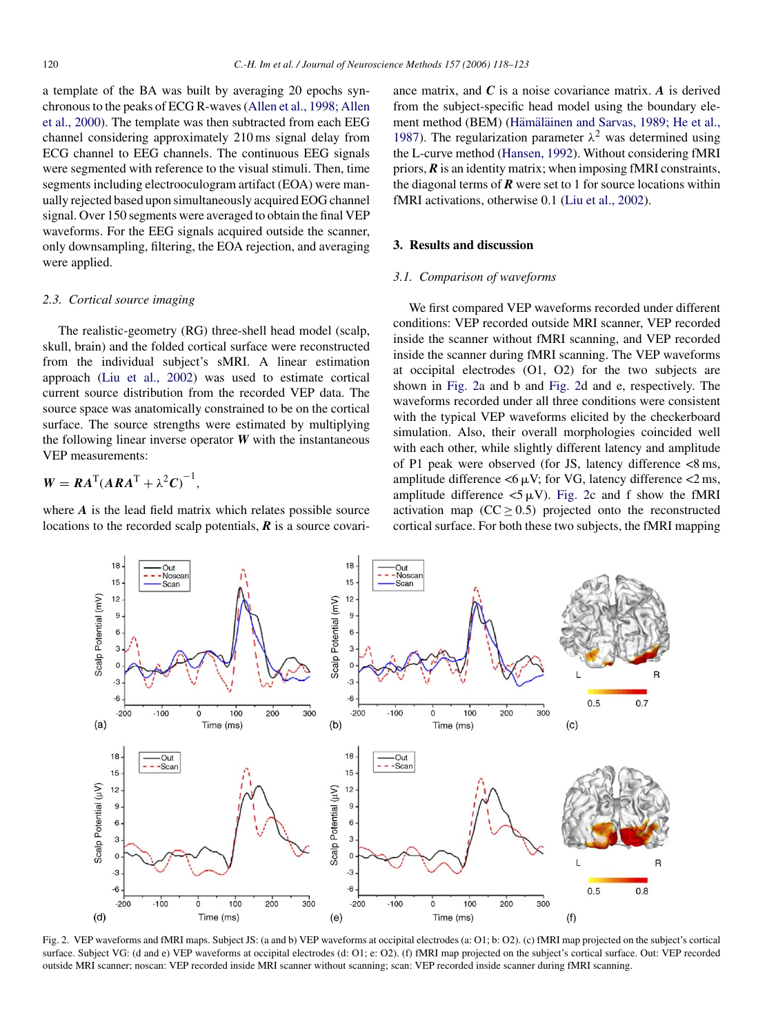a template of the BA was built by averaging 20 epochs synchronous to the peaks of ECG R-waves [\(Allen et al., 1998; Allen](#page-4-0) [et al., 2000\).](#page-4-0) The template was then subtracted from each EEG channel considering approximately 210 ms signal delay from ECG channel to EEG channels. The continuous EEG signals were segmented with reference to the visual stimuli. Then, time segments including electrooculogram artifact (EOA) were manually rejected based upon simultaneously acquired EOG channel signal. Over 150 segments were averaged to obtain the final VEP waveforms. For the EEG signals acquired outside the scanner, only downsampling, filtering, the EOA rejection, and averaging were applied.

# *2.3. Cortical source imaging*

The realistic-geometry (RG) three-shell head model (scalp, skull, brain) and the folded cortical surface were reconstructed from the individual subject's sMRI. A linear estimation approach [\(Liu et al., 2002\)](#page-5-0) was used to estimate cortical current source distribution from the recorded VEP data. The source space was anatomically constrained to be on the cortical surface. The source strengths were estimated by multiplying the following linear inverse operator *W* with the instantaneous VEP measurements:

$$
W = RA^{T} (A RA^{T} + \lambda^{2} C)^{-1},
$$

where *A* is the lead field matrix which relates possible source locations to the recorded scalp potentials, *R* is a source covariance matrix, and *C* is a noise covariance matrix. *A* is derived from the subject-specific head model using the boundary element method (BEM) (Hämäläinen and Sarvas, 1989; He et al., [1987\).](#page-4-0) The regularization parameter  $\lambda^2$  was determined using the L-curve method [\(Hansen, 1992\).](#page-4-0) Without considering fMRI priors,  $\vec{R}$  is an identity matrix; when imposing fMRI constraints, the diagonal terms of  *were set to 1 for source locations within* fMRI activations, otherwise 0.1 ([Liu et al., 2002\).](#page-5-0)

## **3. Results and discussion**

# *3.1. Comparison of waveforms*

We first compared VEP waveforms recorded under different conditions: VEP recorded outside MRI scanner, VEP recorded inside the scanner without fMRI scanning, and VEP recorded inside the scanner during fMRI scanning. The VEP waveforms at occipital electrodes (O1, O2) for the two subjects are shown in Fig. 2a and b and Fig. 2d and e, respectively. The waveforms recorded under all three conditions were consistent with the typical VEP waveforms elicited by the checkerboard simulation. Also, their overall morphologies coincided well with each other, while slightly different latency and amplitude of P1 peak were observed (for JS, latency difference <8 ms, amplitude difference  $\lt 6 \mu V$ ; for VG, latency difference  $\lt 2$  ms, amplitude difference  $\langle 5 \mu V \rangle$ . Fig. 2c and f show the fMRI activation map ( $CC \ge 0.5$ ) projected onto the reconstructed cortical surface. For both these two subjects, the fMRI mapping



Fig. 2. VEP waveforms and fMRI maps. Subject JS: (a and b) VEP waveforms at occipital electrodes (a: O1; b: O2). (c) fMRI map projected on the subject's cortical surface. Subject VG: (d and e) VEP waveforms at occipital electrodes (d: O1; e: O2). (f) fMRI map projected on the subject's cortical surface. Out: VEP recorded outside MRI scanner; noscan: VEP recorded inside MRI scanner without scanning; scan: VEP recorded inside scanner during fMRI scanning.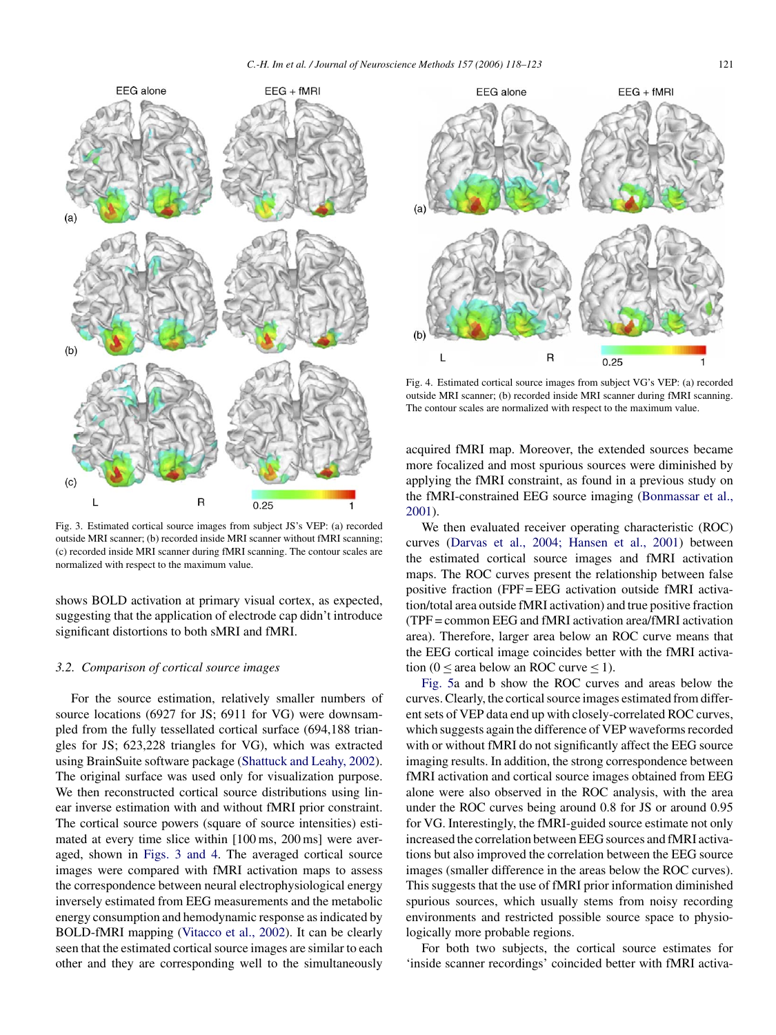

Fig. 3. Estimated cortical source images from subject JS's VEP: (a) recorded outside MRI scanner; (b) recorded inside MRI scanner without fMRI scanning; (c) recorded inside MRI scanner during fMRI scanning. The contour scales are normalized with respect to the maximum value.

shows BOLD activation at primary visual cortex, as expected, suggesting that the application of electrode cap didn't introduce significant distortions to both sMRI and fMRI.

#### *3.2. Comparison of cortical source images*

For the source estimation, relatively smaller numbers of source locations (6927 for JS; 6911 for VG) were downsampled from the fully tessellated cortical surface (694,188 triangles for JS; 623,228 triangles for VG), which was extracted using BrainSuite software package ([Shattuck and Leahy, 2002\).](#page-5-0) The original surface was used only for visualization purpose. We then reconstructed cortical source distributions using linear inverse estimation with and without fMRI prior constraint. The cortical source powers (square of source intensities) estimated at every time slice within [100 ms, 200 ms] were averaged, shown in Figs. 3 and 4. The averaged cortical source images were compared with fMRI activation maps to assess the correspondence between neural electrophysiological energy inversely estimated from EEG measurements and the metabolic energy consumption and hemodynamic response as indicated by BOLD-fMRI mapping ([Vitacco et al., 2002\).](#page-5-0) It can be clearly seen that the estimated cortical source images are similar to each other and they are corresponding well to the simultaneously



Fig. 4. Estimated cortical source images from subject VG's VEP: (a) recorded outside MRI scanner; (b) recorded inside MRI scanner during fMRI scanning. The contour scales are normalized with respect to the maximum value.

acquired fMRI map. Moreover, the extended sources became more focalized and most spurious sources were diminished by applying the fMRI constraint, as found in a previous study on the fMRI-constrained EEG source imaging ([Bonmassar et al.,](#page-4-0) [2001\).](#page-4-0)

We then evaluated receiver operating characteristic (ROC) curves ([Darvas et al., 2004; Hansen et al., 2001\)](#page-4-0) between the estimated cortical source images and fMRI activation maps. The ROC curves present the relationship between false positive fraction (FPF = EEG activation outside fMRI activation/total area outside fMRI activation) and true positive fraction (TPF = common EEG and fMRI activation area/fMRI activation area). Therefore, larger area below an ROC curve means that the EEG cortical image coincides better with the fMRI activation (0  $\leq$  area below an ROC curve  $\leq$  1).

[Fig. 5a](#page-4-0) and b show the ROC curves and areas below the curves. Clearly, the cortical source images estimated from different sets of VEP data end up with closely-correlated ROC curves, which suggests again the difference of VEP waveforms recorded with or without fMRI do not significantly affect the EEG source imaging results. In addition, the strong correspondence between fMRI activation and cortical source images obtained from EEG alone were also observed in the ROC analysis, with the area under the ROC curves being around 0.8 for JS or around 0.95 for VG. Interestingly, the fMRI-guided source estimate not only increased the correlation between EEG sources and fMRI activations but also improved the correlation between the EEG source images (smaller difference in the areas below the ROC curves). This suggests that the use of fMRI prior information diminished spurious sources, which usually stems from noisy recording environments and restricted possible source space to physiologically more probable regions.

For both two subjects, the cortical source estimates for 'inside scanner recordings' coincided better with fMRI activa-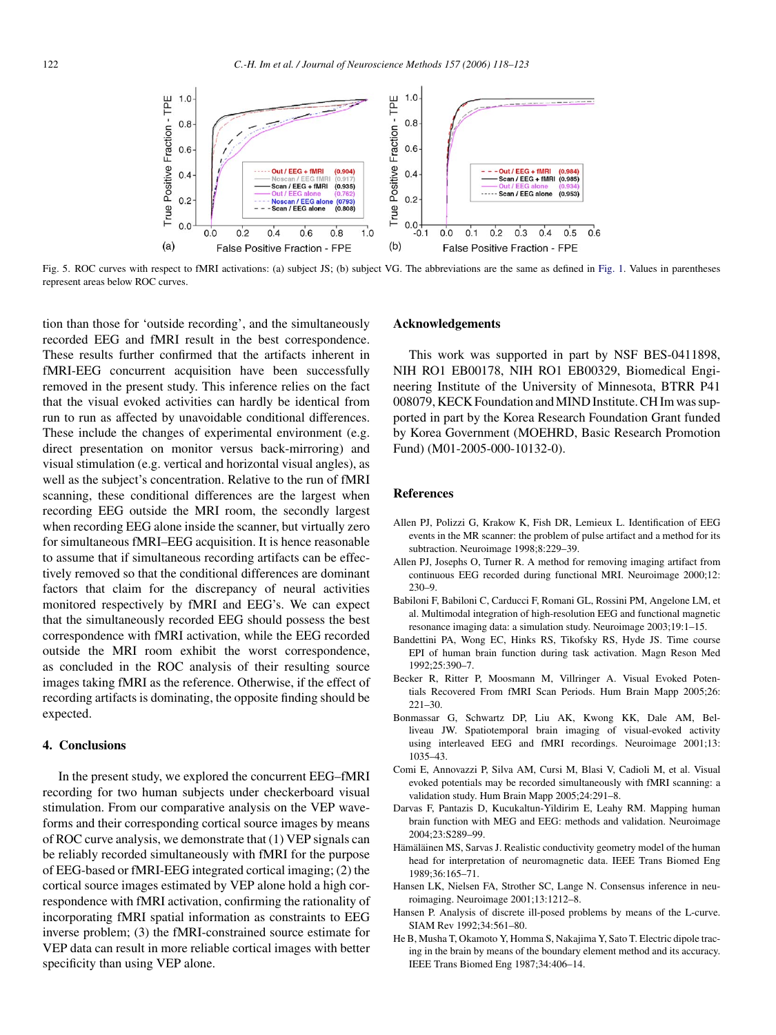<span id="page-4-0"></span>

Fig. 5. ROC curves with respect to fMRI activations: (a) subject JS; (b) subject VG. The abbreviations are the same as defined in [Fig. 1.](#page-1-0) Values in parentheses represent areas below ROC curves.

tion than those for 'outside recording', and the simultaneously recorded EEG and fMRI result in the best correspondence. These results further confirmed that the artifacts inherent in fMRI-EEG concurrent acquisition have been successfully removed in the present study. This inference relies on the fact that the visual evoked activities can hardly be identical from run to run as affected by unavoidable conditional differences. These include the changes of experimental environment (e.g. direct presentation on monitor versus back-mirroring) and visual stimulation (e.g. vertical and horizontal visual angles), as well as the subject's concentration. Relative to the run of fMRI scanning, these conditional differences are the largest when recording EEG outside the MRI room, the secondly largest when recording EEG alone inside the scanner, but virtually zero for simultaneous fMRI–EEG acquisition. It is hence reasonable to assume that if simultaneous recording artifacts can be effectively removed so that the conditional differences are dominant factors that claim for the discrepancy of neural activities monitored respectively by fMRI and EEG's. We can expect that the simultaneously recorded EEG should possess the best correspondence with fMRI activation, while the EEG recorded outside the MRI room exhibit the worst correspondence, as concluded in the ROC analysis of their resulting source images taking fMRI as the reference. Otherwise, if the effect of recording artifacts is dominating, the opposite finding should be expected.

# **4. Conclusions**

In the present study, we explored the concurrent EEG–fMRI recording for two human subjects under checkerboard visual stimulation. From our comparative analysis on the VEP waveforms and their corresponding cortical source images by means of ROC curve analysis, we demonstrate that (1) VEP signals can be reliably recorded simultaneously with fMRI for the purpose of EEG-based or fMRI-EEG integrated cortical imaging; (2) the cortical source images estimated by VEP alone hold a high correspondence with fMRI activation, confirming the rationality of incorporating fMRI spatial information as constraints to EEG inverse problem; (3) the fMRI-constrained source estimate for VEP data can result in more reliable cortical images with better specificity than using VEP alone.

#### **Acknowledgements**

This work was supported in part by NSF BES-0411898, NIH RO1 EB00178, NIH RO1 EB00329, Biomedical Engineering Institute of the University of Minnesota, BTRR P41 008079, KECK Foundation and MIND Institute. CH Im was supported in part by the Korea Research Foundation Grant funded by Korea Government (MOEHRD, Basic Research Promotion Fund) (M01-2005-000-10132-0).

# **References**

- Allen PJ, Polizzi G, Krakow K, Fish DR, Lemieux L. Identification of EEG events in the MR scanner: the problem of pulse artifact and a method for its subtraction. Neuroimage 1998;8:229–39.
- Allen PJ, Josephs O, Turner R. A method for removing imaging artifact from continuous EEG recorded during functional MRI. Neuroimage 2000;12: 230–9.
- Babiloni F, Babiloni C, Carducci F, Romani GL, Rossini PM, Angelone LM, et al. Multimodal integration of high-resolution EEG and functional magnetic resonance imaging data: a simulation study. Neuroimage 2003;19:1–15.
- Bandettini PA, Wong EC, Hinks RS, Tikofsky RS, Hyde JS. Time course EPI of human brain function during task activation. Magn Reson Med 1992;25:390–7.
- Becker R, Ritter P, Moosmann M, Villringer A. Visual Evoked Potentials Recovered From fMRI Scan Periods. Hum Brain Mapp 2005;26: 221–30.
- Bonmassar G, Schwartz DP, Liu AK, Kwong KK, Dale AM, Belliveau JW. Spatiotemporal brain imaging of visual-evoked activity using interleaved EEG and fMRI recordings. Neuroimage 2001;13: 1035–43.
- Comi E, Annovazzi P, Silva AM, Cursi M, Blasi V, Cadioli M, et al. Visual evoked potentials may be recorded simultaneously with fMRI scanning: a validation study. Hum Brain Mapp 2005;24:291–8.
- Darvas F, Pantazis D, Kucukaltun-Yildirim E, Leahy RM. Mapping human brain function with MEG and EEG: methods and validation. Neuroimage 2004;23:S289–99.
- Hämäläinen MS, Sarvas J. Realistic conductivity geometry model of the human head for interpretation of neuromagnetic data. IEEE Trans Biomed Eng 1989;36:165–71.
- Hansen LK, Nielsen FA, Strother SC, Lange N. Consensus inference in neuroimaging. Neuroimage 2001;13:1212–8.
- Hansen P. Analysis of discrete ill-posed problems by means of the L-curve. SIAM Rev 1992;34:561–80.
- He B, Musha T, Okamoto Y, Homma S, Nakajima Y, Sato T. Electric dipole tracing in the brain by means of the boundary element method and its accuracy. IEEE Trans Biomed Eng 1987;34:406–14.